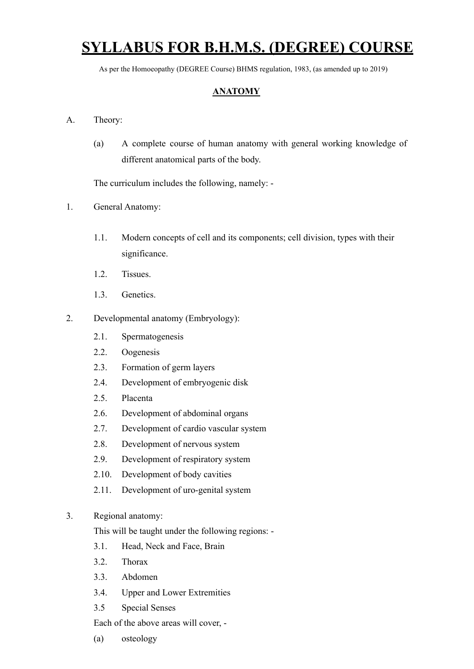# **SYLLABUS FOR B.H.M.S. (DEGREE) COURSE**

As per the Homoeopathy (DEGREE Course) BHMS regulation, 1983, (as amended up to 2019)

# **ANATOMY**

#### A. Theory:

(a) A complete course of human anatomy with general working knowledge of different anatomical parts of the body.

The curriculum includes the following, namely: -

- 1. General Anatomy:
	- 1.1. Modern concepts of cell and its components; cell division, types with their significance.
	- 1.2. Tissues.
	- 1.3. Genetics.

#### 2. Developmental anatomy (Embryology):

- 2.1. Spermatogenesis
- 2.2. Oogenesis
- 2.3. Formation of germ layers
- 2.4. Development of embryogenic disk
- 2.5. Placenta
- 2.6. Development of abdominal organs
- 2.7. Development of cardio vascular system
- 2.8. Development of nervous system
- 2.9. Development of respiratory system
- 2.10. Development of body cavities
- 2.11. Development of uro-genital system

#### 3. Regional anatomy:

This will be taught under the following regions: -

- 3.1. Head, Neck and Face, Brain
- 3.2. Thorax
- 3.3. Abdomen
- 3.4. Upper and Lower Extremities
- 3.5 Special Senses

Each of the above areas will cover, -

(a) osteology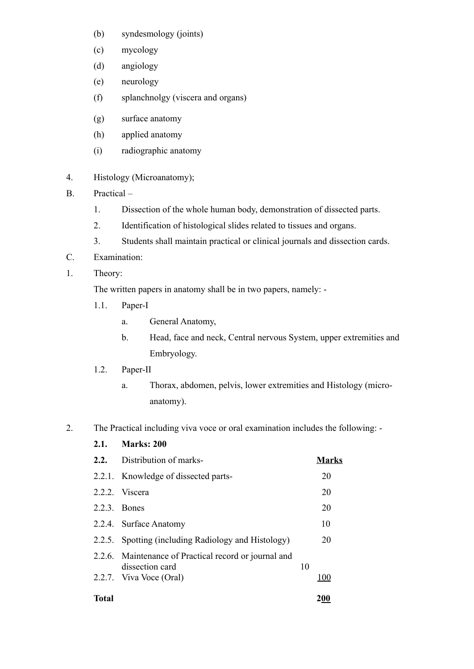- (b) syndesmology (joints)
- (c) mycology
- (d) angiology
- (e) neurology
- (f) splanchnolgy (viscera and organs)
- (g) surface anatomy
- (h) applied anatomy
- (i) radiographic anatomy
- 4. Histology (Microanatomy);
- B. Practical
	- 1. Dissection of the whole human body, demonstration of dissected parts.
	- 2. Identification of histological slides related to tissues and organs.
	- 3. Students shall maintain practical or clinical journals and dissection cards.
- C. Examination:
- 1. Theory:

The written papers in anatomy shall be in two papers, namely: -

- 1.1. Paper-I
	- a. General Anatomy,
	- b. Head, face and neck, Central nervous System, upper extremities and Embryology.
- 1.2. Paper-II
	- a. Thorax, abdomen, pelvis, lower extremities and Histology (microanatomy).
- 2. The Practical including viva voce or oral examination includes the following:
	- **2.1. Marks: 200 2.2.** Distribution of marks- **Marks** 2.2.1. Knowledge of dissected parts- 20 2.2.2. Viscera 20 2.2.3. Bones 20 2.2.4. Surface Anatomy 10 2.2.5. Spotting (including Radiology and Histology) 20 2.2.6. Maintenance of Practical record or journal and dissection card 10 2.2.7. Viva Voce (Oral) 100 **Total 200**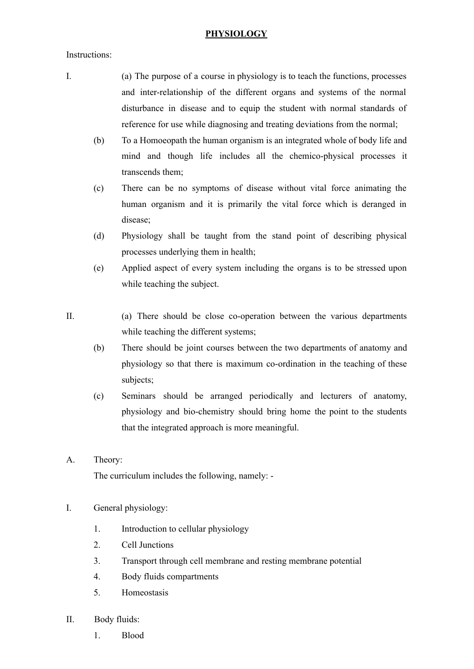#### **PHYSIOLOGY**

Instructions:

- I. (a) The purpose of a course in physiology is to teach the functions, processes and inter-relationship of the different organs and systems of the normal disturbance in disease and to equip the student with normal standards of reference for use while diagnosing and treating deviations from the normal;
	- (b) To a Homoeopath the human organism is an integrated whole of body life and mind and though life includes all the chemico-physical processes it transcends them;
	- (c) There can be no symptoms of disease without vital force animating the human organism and it is primarily the vital force which is deranged in disease;
	- (d) Physiology shall be taught from the stand point of describing physical processes underlying them in health;
	- (e) Applied aspect of every system including the organs is to be stressed upon while teaching the subject.
- II. (a) There should be close co-operation between the various departments while teaching the different systems;
	- (b) There should be joint courses between the two departments of anatomy and physiology so that there is maximum co-ordination in the teaching of these subjects;
	- (c) Seminars should be arranged periodically and lecturers of anatomy, physiology and bio-chemistry should bring home the point to the students that the integrated approach is more meaningful.
- A. Theory:

The curriculum includes the following, namely: -

- I. General physiology:
	- 1. Introduction to cellular physiology
	- 2. Cell Junctions
	- 3. Transport through cell membrane and resting membrane potential
	- 4. Body fluids compartments
	- 5. Homeostasis
- II. Body fluids:
	- 1. Blood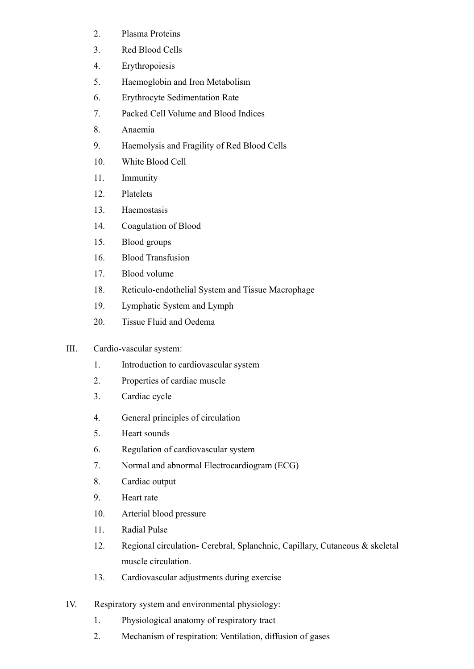- 2. Plasma Proteins
- 3. Red Blood Cells
- 4. Erythropoiesis
- 5. Haemoglobin and Iron Metabolism
- 6. Erythrocyte Sedimentation Rate
- 7. Packed Cell Volume and Blood Indices
- 8. Anaemia
- 9. Haemolysis and Fragility of Red Blood Cells
- 10. White Blood Cell
- 11. Immunity
- 12. Platelets
- 13. Haemostasis
- 14. Coagulation of Blood
- 15. Blood groups
- 16. Blood Transfusion
- 17. Blood volume
- 18. Reticulo-endothelial System and Tissue Macrophage
- 19. Lymphatic System and Lymph
- 20. Tissue Fluid and Oedema

# III. Cardio-vascular system:

- 1. Introduction to cardiovascular system
- 2. Properties of cardiac muscle
- 3. Cardiac cycle
- 4. General principles of circulation
- 5. Heart sounds
- 6. Regulation of cardiovascular system
- 7. Normal and abnormal Electrocardiogram (ECG)
- 8. Cardiac output
- 9. Heart rate
- 10. Arterial blood pressure
- 11. Radial Pulse
- 12. Regional circulation- Cerebral, Splanchnic, Capillary, Cutaneous & skeletal muscle circulation.
- 13. Cardiovascular adjustments during exercise
- IV. Respiratory system and environmental physiology:
	- 1. Physiological anatomy of respiratory tract
	- 2. Mechanism of respiration: Ventilation, diffusion of gases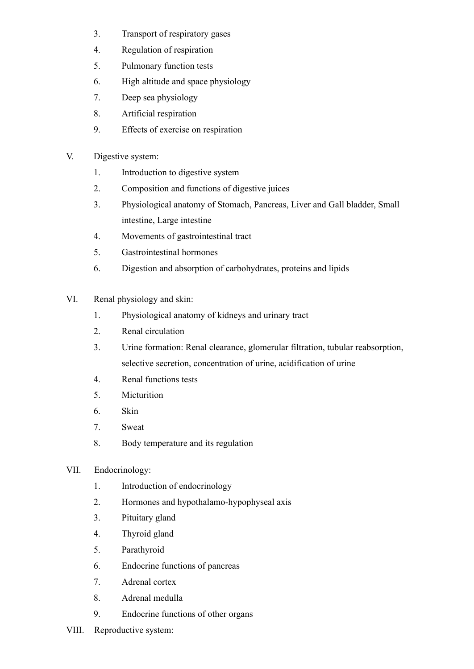- 3. Transport of respiratory gases
- 4. Regulation of respiration
- 5. Pulmonary function tests
- 6. High altitude and space physiology
- 7. Deep sea physiology
- 8. Artificial respiration
- 9. Effects of exercise on respiration
- V. Digestive system:
	- 1. Introduction to digestive system
	- 2. Composition and functions of digestive juices
	- 3. Physiological anatomy of Stomach, Pancreas, Liver and Gall bladder, Small intestine, Large intestine
	- 4. Movements of gastrointestinal tract
	- 5. Gastrointestinal hormones
	- 6. Digestion and absorption of carbohydrates, proteins and lipids
- VI. Renal physiology and skin:
	- 1. Physiological anatomy of kidneys and urinary tract
	- 2. Renal circulation
	- 3. Urine formation: Renal clearance, glomerular filtration, tubular reabsorption, selective secretion, concentration of urine, acidification of urine
	- 4. Renal functions tests
	- 5. Micturition
	- 6. Skin
	- 7. Sweat
	- 8. Body temperature and its regulation
- VII. Endocrinology:
	- 1. Introduction of endocrinology
	- 2. Hormones and hypothalamo-hypophyseal axis
	- 3. Pituitary gland
	- 4. Thyroid gland
	- 5. Parathyroid
	- 6. Endocrine functions of pancreas
	- 7. Adrenal cortex
	- 8. Adrenal medulla
	- 9. Endocrine functions of other organs
- VIII. Reproductive system: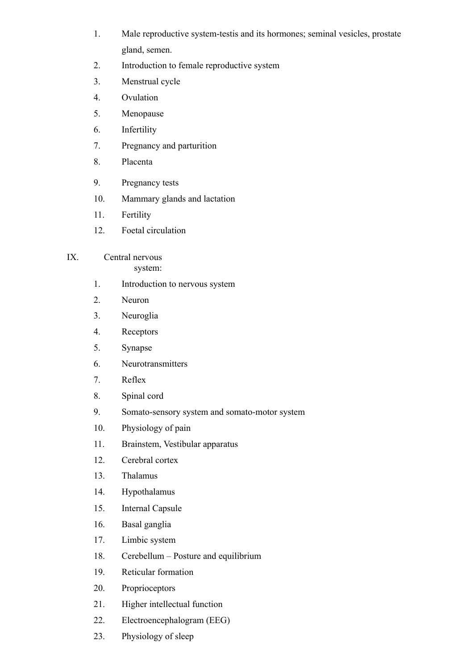- 1. Male reproductive system-testis and its hormones; seminal vesicles, prostate gland, semen.
- 2. Introduction to female reproductive system
- 3. Menstrual cycle
- 4. Ovulation
- 5. Menopause
- 6. Infertility
- 7. Pregnancy and parturition
- 8. Placenta
- 9. Pregnancy tests
- 10. Mammary glands and lactation
- 11. Fertility
- 12. Foetal circulation
- IX. Central nervous system:
	- 1. Introduction to nervous system
	- 2. Neuron
	- 3. Neuroglia
	- 4. Receptors
	- 5. Synapse
	- 6. Neurotransmitters
	- 7. Reflex
	- 8. Spinal cord
	- 9. Somato-sensory system and somato-motor system
	- 10. Physiology of pain
	- 11. Brainstem, Vestibular apparatus
	- 12. Cerebral cortex
	- 13. Thalamus
	- 14. Hypothalamus
	- 15. Internal Capsule
	- 16. Basal ganglia
	- 17. Limbic system
	- 18. Cerebellum Posture and equilibrium
	- 19. Reticular formation
	- 20. Proprioceptors
	- 21. Higher intellectual function
	- 22. Electroencephalogram (EEG)
	- 23. Physiology of sleep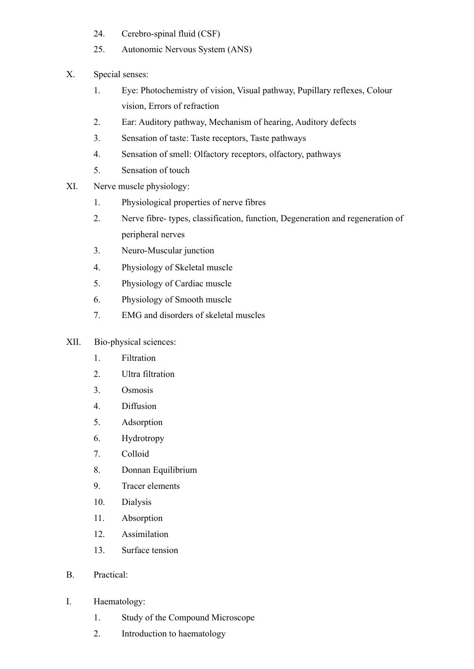- 24. Cerebro-spinal fluid (CSF)
- 25. Autonomic Nervous System (ANS)
- X. Special senses:
	- 1. Eye: Photochemistry of vision, Visual pathway, Pupillary reflexes, Colour vision, Errors of refraction
	- 2. Ear: Auditory pathway, Mechanism of hearing, Auditory defects
	- 3. Sensation of taste: Taste receptors, Taste pathways
	- 4. Sensation of smell: Olfactory receptors, olfactory, pathways
	- 5. Sensation of touch
- XI. Nerve muscle physiology:
	- 1. Physiological properties of nerve fibres
	- 2. Nerve fibre- types, classification, function, Degeneration and regeneration of peripheral nerves
	- 3. Neuro-Muscular junction
	- 4. Physiology of Skeletal muscle
	- 5. Physiology of Cardiac muscle
	- 6. Physiology of Smooth muscle
	- 7. EMG and disorders of skeletal muscles
- XII. Bio-physical sciences:
	- 1. Filtration
	- 2. Ultra filtration
	- 3. Osmosis
	- 4. Diffusion
	- 5. Adsorption
	- 6. Hydrotropy
	- 7. Colloid
	- 8. Donnan Equilibrium
	- 9. Tracer elements
	- 10. Dialysis
	- 11. Absorption
	- 12. Assimilation
	- 13. Surface tension
- B. Practical:
- I. Haematology:
	- 1. Study of the Compound Microscope
	- 2. Introduction to haematology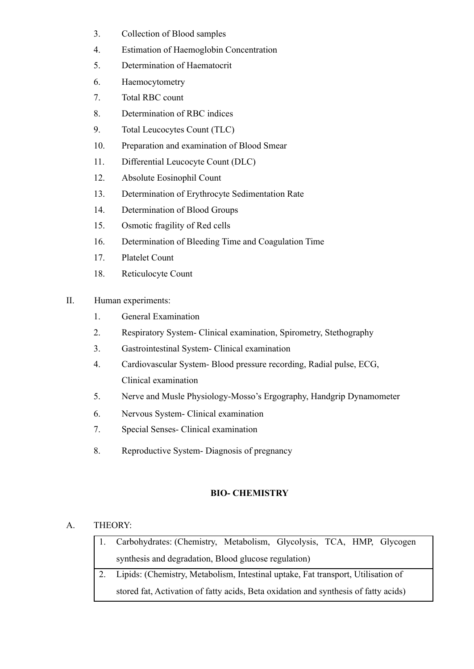- 3. Collection of Blood samples
- 4. Estimation of Haemoglobin Concentration
- 5. Determination of Haematocrit
- 6. Haemocytometry
- 7. Total RBC count
- 8. Determination of RBC indices
- 9. Total Leucocytes Count (TLC)
- 10. Preparation and examination of Blood Smear
- 11. Differential Leucocyte Count (DLC)
- 12. Absolute Eosinophil Count
- 13. Determination of Erythrocyte Sedimentation Rate
- 14. Determination of Blood Groups
- 15. Osmotic fragility of Red cells
- 16. Determination of Bleeding Time and Coagulation Time
- 17. Platelet Count
- 18. Reticulocyte Count
- II. Human experiments:
	- 1. General Examination
	- 2. Respiratory System- Clinical examination, Spirometry, Stethography
	- 3. Gastrointestinal System- Clinical examination
	- 4. Cardiovascular System- Blood pressure recording, Radial pulse, ECG, Clinical examination
	- 5. Nerve and Musle Physiology-Mosso's Ergography, Handgrip Dynamometer
	- 6. Nervous System- Clinical examination
	- 7. Special Senses- Clinical examination
	- 8. Reproductive System- Diagnosis of pregnancy

# **BIO- CHEMISTRY**

# A. THEORY:

- 1. Carbohydrates: (Chemistry, Metabolism, Glycolysis, TCA, HMP, Glycogen synthesis and degradation, Blood glucose regulation)
- 2. Lipids: (Chemistry, Metabolism, Intestinal uptake, Fat transport, Utilisation of stored fat, Activation of fatty acids, Beta oxidation and synthesis of fatty acids)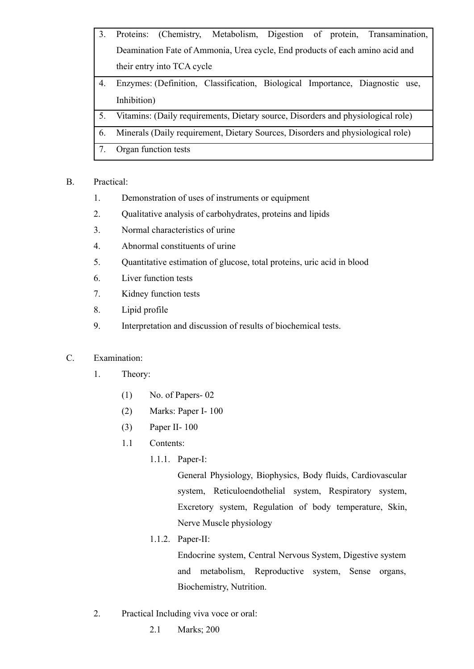- 3. Proteins: (Chemistry, Metabolism, Digestion of protein, Transamination, Deamination Fate of Ammonia, Urea cycle, End products of each amino acid and their entry into TCA cycle 4. Enzymes: (Definition, Classification, Biological Importance, Diagnostic use, Inhibition) 5. Vitamins: (Daily requirements, Dietary source, Disorders and physiological role) 6. Minerals (Daily requirement, Dietary Sources, Disorders and physiological role)
- 7. Organ function tests

# B. Practical:

- 1. Demonstration of uses of instruments or equipment
- 2. Qualitative analysis of carbohydrates, proteins and lipids
- 3. Normal characteristics of urine
- 4. Abnormal constituents of urine
- 5. Quantitative estimation of glucose, total proteins, uric acid in blood
- 6. Liver function tests
- 7. Kidney function tests
- 8. Lipid profile
- 9. Interpretation and discussion of results of biochemical tests.

# C. Examination:

- 1. Theory:
	- (1) No. of Papers- 02
	- (2) Marks: Paper I- 100
	- (3) Paper II- 100
	- 1.1 Contents:
		- 1.1.1. Paper-I:

General Physiology, Biophysics, Body fluids, Cardiovascular system, Reticuloendothelial system, Respiratory system, Excretory system, Regulation of body temperature, Skin, Nerve Muscle physiology

1.1.2. Paper-II:

Endocrine system, Central Nervous System, Digestive system and metabolism, Reproductive system, Sense organs, Biochemistry, Nutrition.

- 2. Practical Including viva voce or oral:
	- 2.1 Marks; 200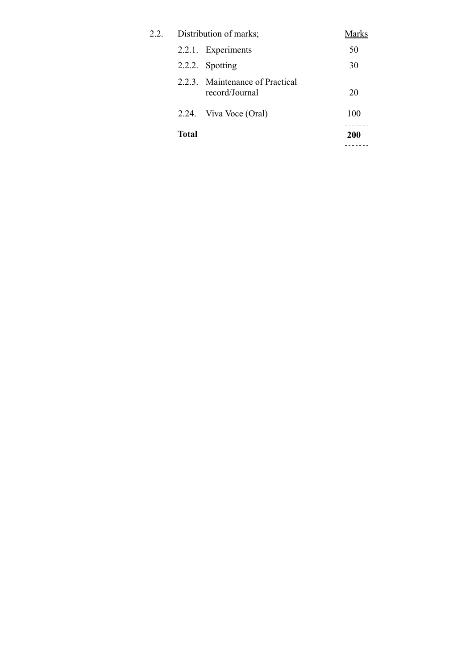|      | Total |                                                   | 200   |
|------|-------|---------------------------------------------------|-------|
|      | 2.24. | Viva Voce (Oral)                                  | 100   |
|      |       | 2.2.3. Maintenance of Practical<br>record/Journal | 20    |
|      |       | 2.2.2. Spotting                                   | 30    |
|      |       | 2.2.1. Experiments                                | 50    |
| 2.2. |       | Distribution of marks;                            | Marks |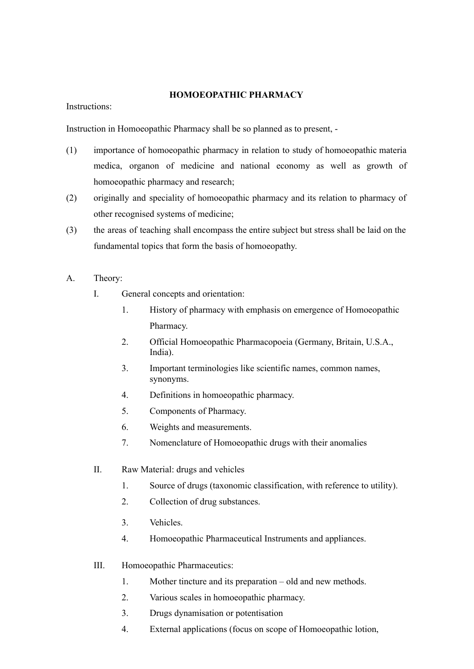#### **HOMOEOPATHIC PHARMACY**

Instructions:

Instruction in Homoeopathic Pharmacy shall be so planned as to present, -

- (1) importance of homoeopathic pharmacy in relation to study of homoeopathic materia medica, organon of medicine and national economy as well as growth of homoeopathic pharmacy and research;
- (2) originally and speciality of homoeopathic pharmacy and its relation to pharmacy of other recognised systems of medicine;
- (3) the areas of teaching shall encompass the entire subject but stress shall be laid on the fundamental topics that form the basis of homoeopathy.
- A. Theory:
	- I. General concepts and orientation:
		- 1. History of pharmacy with emphasis on emergence of Homoeopathic Pharmacy.
		- 2. Official Homoeopathic Pharmacopoeia (Germany, Britain, U.S.A., India).
		- 3. Important terminologies like scientific names, common names, synonyms.
		- 4. Definitions in homoeopathic pharmacy.
		- 5. Components of Pharmacy.
		- 6. Weights and measurements.
		- 7. Nomenclature of Homoeopathic drugs with their anomalies
	- II. Raw Material: drugs and vehicles
		- 1. Source of drugs (taxonomic classification, with reference to utility).
		- 2. Collection of drug substances.
		- 3. Vehicles.
		- 4. Homoeopathic Pharmaceutical Instruments and appliances.
	- III. Homoeopathic Pharmaceutics:
		- 1. Mother tincture and its preparation old and new methods.
		- 2. Various scales in homoeopathic pharmacy.
		- 3. Drugs dynamisation or potentisation
		- 4. External applications (focus on scope of Homoeopathic lotion,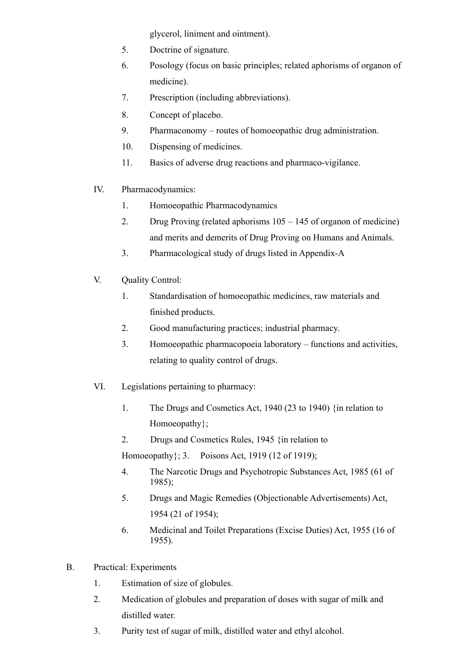glycerol, liniment and ointment).

- 5. Doctrine of signature.
- 6. Posology (focus on basic principles; related aphorisms of organon of medicine).
- 7. Prescription (including abbreviations).
- 8. Concept of placebo.
- 9. Pharmaconomy routes of homoeopathic drug administration.
- 10. Dispensing of medicines.
- 11. Basics of adverse drug reactions and pharmaco-vigilance.
- IV. Pharmacodynamics:
	- 1. Homoeopathic Pharmacodynamics
	- 2. Drug Proving (related aphorisms 105 145 of organon of medicine) and merits and demerits of Drug Proving on Humans and Animals.
	- 3. Pharmacological study of drugs listed in Appendix-A
- V. Quality Control:
	- 1. Standardisation of homoeopathic medicines, raw materials and finished products.
	- 2. Good manufacturing practices; industrial pharmacy.
	- 3. Homoeopathic pharmacopoeia laboratory functions and activities, relating to quality control of drugs.
- VI. Legislations pertaining to pharmacy:
	- 1. The Drugs and Cosmetics Act, 1940 (23 to 1940) {in relation to Homoeopathy};
	- 2. Drugs and Cosmetics Rules, 1945 {in relation to

Homoeopathy}; 3. Poisons Act, 1919 (12 of 1919);

- 4. The Narcotic Drugs and Psychotropic Substances Act, 1985 (61 of 1985);
- 5. Drugs and Magic Remedies (Objectionable Advertisements) Act, 1954 (21 of 1954);
- 6. Medicinal and Toilet Preparations (Excise Duties) Act, 1955 (16 of 1955).
- B. Practical: Experiments
	- 1. Estimation of size of globules.
	- 2. Medication of globules and preparation of doses with sugar of milk and distilled water.
	- 3. Purity test of sugar of milk, distilled water and ethyl alcohol.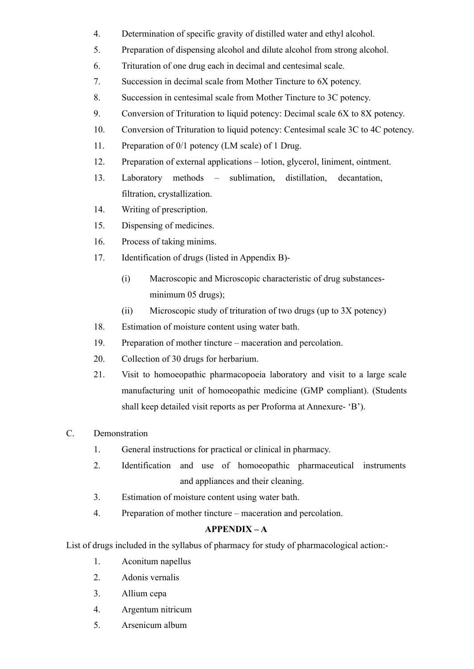- 4. Determination of specific gravity of distilled water and ethyl alcohol.
- 5. Preparation of dispensing alcohol and dilute alcohol from strong alcohol.
- 6. Trituration of one drug each in decimal and centesimal scale.
- 7. Succession in decimal scale from Mother Tincture to 6X potency.
- 8. Succession in centesimal scale from Mother Tincture to 3C potency.
- 9. Conversion of Trituration to liquid potency: Decimal scale 6X to 8X potency.
- 10. Conversion of Trituration to liquid potency: Centesimal scale 3C to 4C potency.
- 11. Preparation of 0/1 potency (LM scale) of 1 Drug.
- 12. Preparation of external applications lotion, glycerol, liniment, ointment.
- 13. Laboratory methods sublimation, distillation, decantation, filtration, crystallization.
- 14. Writing of prescription.
- 15. Dispensing of medicines.
- 16. Process of taking minims.
- 17. Identification of drugs (listed in Appendix B)-
	- (i) Macroscopic and Microscopic characteristic of drug substancesminimum 05 drugs);
	- (ii) Microscopic study of trituration of two drugs (up to 3X potency)
- 18. Estimation of moisture content using water bath.
- 19. Preparation of mother tincture maceration and percolation.
- 20. Collection of 30 drugs for herbarium.
- 21. Visit to homoeopathic pharmacopoeia laboratory and visit to a large scale manufacturing unit of homoeopathic medicine (GMP compliant). (Students shall keep detailed visit reports as per Proforma at Annexure- 'B').
- C. Demonstration
	- 1. General instructions for practical or clinical in pharmacy.
	- 2. Identification and use of homoeopathic pharmaceutical instruments and appliances and their cleaning.
	- 3. Estimation of moisture content using water bath.
	- 4. Preparation of mother tincture maceration and percolation.

# **APPENDIX – A**

List of drugs included in the syllabus of pharmacy for study of pharmacological action:-

- 1. Aconitum napellus
- 2. Adonis vernalis
- 3. Allium cepa
- 4. Argentum nitricum
- 5. Arsenicum album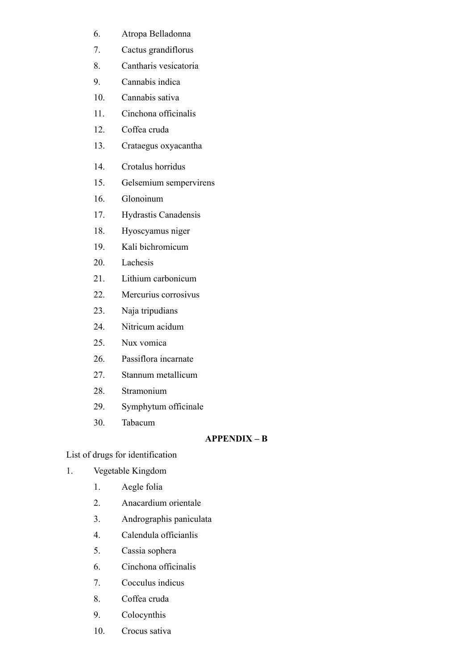- 6. Atropa Belladonna
- 7. Cactus grandiflorus
- 8. Cantharis vesicatoria
- 9. Cannabis indica
- 10. Cannabis sativa
- 11. Cinchona officinalis
- 12. Coffea cruda
- 13. Crataegus oxyacantha
- 14. Crotalus horridus
- 15. Gelsemium sempervirens
- 16. Glonoinum
- 17. Hydrastis Canadensis
- 18. Hyoscyamus niger
- 19. Kali bichromicum
- 20. Lachesis
- 21. Lithium carbonicum
- 22. Mercurius corrosivus
- 23. Naja tripudians
- 24. Nitricum acidum
- 25. Nux vomica
- 26. Passiflora incarnate
- 27. Stannum metallicum
- 28. Stramonium
- 29. Symphytum officinale
- 30. Tabacum

## **APPENDIX – B**

List of drugs for identification

- 1. Vegetable Kingdom
	- 1. Aegle folia
	- 2. Anacardium orientale
	- 3. Andrographis paniculata
	- 4. Calendula officianlis
	- 5. Cassia sophera
	- 6. Cinchona officinalis
	- 7. Cocculus indicus
	- 8. Coffea cruda
	- 9. Colocynthis
	- 10. Crocus sativa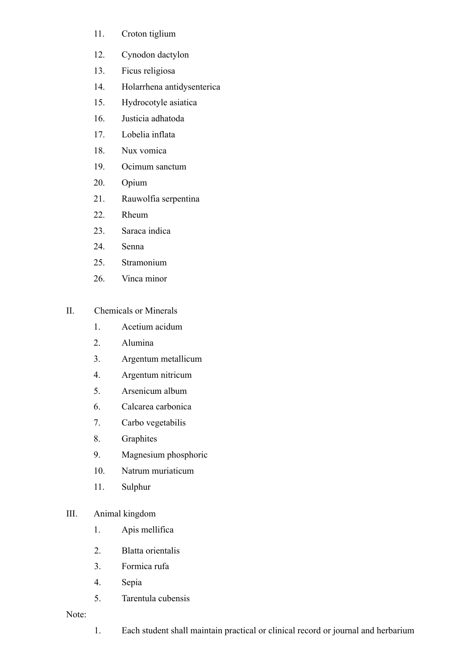- 11. Croton tiglium
- 12. Cynodon dactylon
- 13. Ficus religiosa
- 14. Holarrhena antidysenterica
- 15. Hydrocotyle asiatica
- 16. Justicia adhatoda
- 17. Lobelia inflata
- 18. Nux vomica
- 19. Ocimum sanctum
- 20. Opium
- 21. Rauwolfia serpentina
- 22. Rheum
- 23. Saraca indica
- 24. Senna
- 25. Stramonium
- 26. Vinca minor

## II. Chemicals or Minerals

- 1. Acetium acidum
- 2. Alumina
- 3. Argentum metallicum
- 4. Argentum nitricum
- 5. Arsenicum album
- 6. Calcarea carbonica
- 7. Carbo vegetabilis
- 8. Graphites
- 9. Magnesium phosphoric
- 10. Natrum muriaticum
- 11. Sulphur

#### III. Animal kingdom

- 1. Apis mellifica
- 2. Blatta orientalis
- 3. Formica rufa
- 4. Sepia
- 5. Tarentula cubensis

Note:

1. Each student shall maintain practical or clinical record or journal and herbarium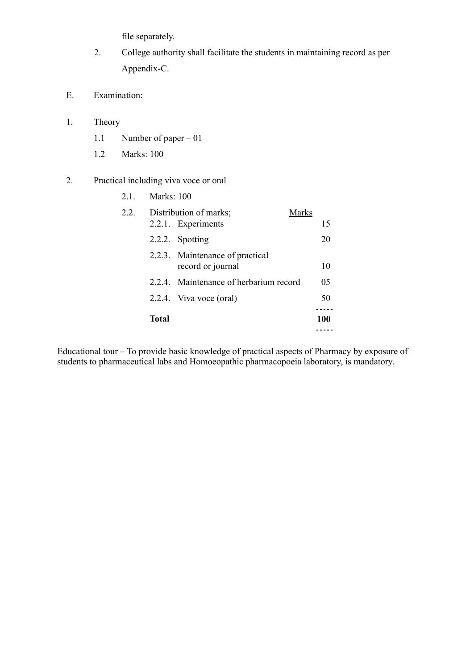file separately.

- 2. College authority shall facilitate the students in maintaining record as per Appendix-C.
- E. Examination:
- 1. Theory
	- 1.1 Number of paper 01
	- 1.2 Marks: 100

# 2. Practical including viva voce or oral

|      | Total             |                                                       | 100 |  |  |
|------|-------------------|-------------------------------------------------------|-----|--|--|
|      |                   | 2.2.4. Viva voce (oral)                               | 50  |  |  |
|      |                   | 2.2.4. Maintenance of herbarium record                | 05  |  |  |
|      |                   | 2.2.3. Maintenance of practical<br>record or journal  | 10  |  |  |
|      |                   | 2.2.2. Spotting                                       | 20  |  |  |
| 2.2. |                   | Distribution of marks;<br>Marks<br>2.2.1. Experiments | 15  |  |  |
| 21   | <b>Marks: 100</b> |                                                       |     |  |  |

Educational tour – To provide basic knowledge of practical aspects of Pharmacy by exposure of students to pharmaceutical labs and Homoeopathic pharmacopoeia laboratory, is mandatory.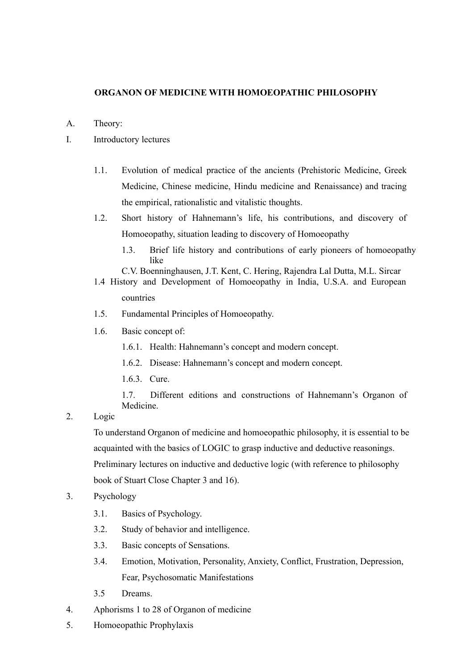#### **ORGANON OF MEDICINE WITH HOMOEOPATHIC PHILOSOPHY**

- A. Theory:
- I. Introductory lectures
	- 1.1. Evolution of medical practice of the ancients (Prehistoric Medicine, Greek Medicine, Chinese medicine, Hindu medicine and Renaissance) and tracing the empirical, rationalistic and vitalistic thoughts.
	- 1.2. Short history of Hahnemann's life, his contributions, and discovery of Homoeopathy, situation leading to discovery of Homoeopathy
		- 1.3. Brief life history and contributions of early pioneers of homoeopathy like
		- C.V. Boenninghausen, J.T. Kent, C. Hering, Rajendra Lal Dutta, M.L. Sircar
	- 1.4 History and Development of Homoeopathy in India, U.S.A. and European countries
	- 1.5. Fundamental Principles of Homoeopathy.
	- 1.6. Basic concept of:
		- 1.6.1. Health: Hahnemann's concept and modern concept.
		- 1.6.2. Disease: Hahnemann's concept and modern concept.
		- 1.6.3. Cure.

1.7. Different editions and constructions of Hahnemann's Organon of Medicine.

2. Logic

To understand Organon of medicine and homoeopathic philosophy, it is essential to be acquainted with the basics of LOGIC to grasp inductive and deductive reasonings. Preliminary lectures on inductive and deductive logic (with reference to philosophy book of Stuart Close Chapter 3 and 16).

- 3. Psychology
	- 3.1. Basics of Psychology.
	- 3.2. Study of behavior and intelligence.
	- 3.3. Basic concepts of Sensations.
	- 3.4. Emotion, Motivation, Personality, Anxiety, Conflict, Frustration, Depression, Fear, Psychosomatic Manifestations
	- 3.5 Dreams.
- 4. Aphorisms 1 to 28 of Organon of medicine
- 5. Homoeopathic Prophylaxis